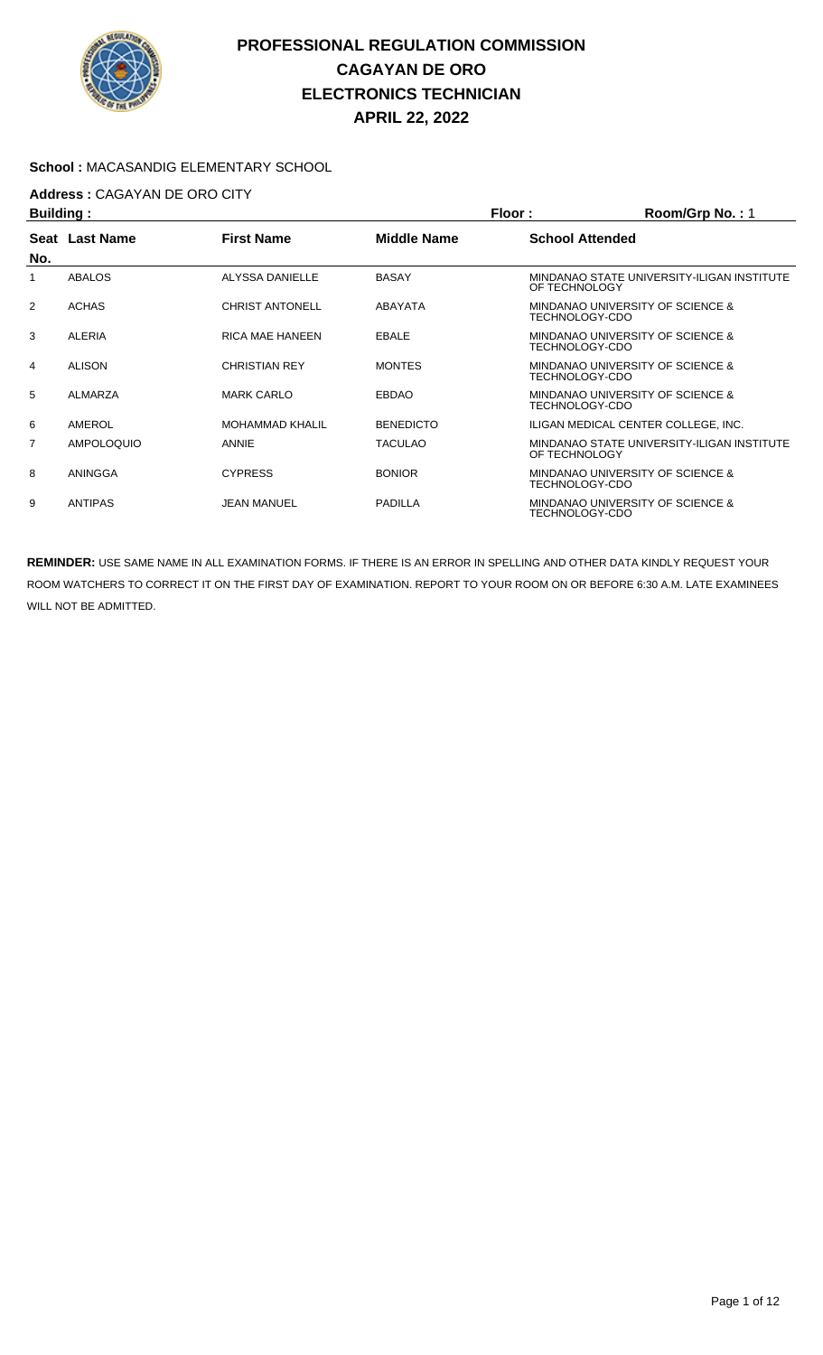

#### **School :** MACASANDIG ELEMENTARY SCHOOL

## **Address :** CAGAYAN DE ORO CITY

| <b>Building:</b> |                   |                        |                    | Floor:                 | Room/Grp No.: 1                             |
|------------------|-------------------|------------------------|--------------------|------------------------|---------------------------------------------|
|                  | Seat Last Name    | <b>First Name</b>      | <b>Middle Name</b> | <b>School Attended</b> |                                             |
| No.              |                   |                        |                    |                        |                                             |
|                  | <b>ABALOS</b>     | ALYSSA DANIELLE        | <b>BASAY</b>       | OF TECHNOLOGY          | MINDANAO STATE UNIVERSITY-ILIGAN INSTITUTE  |
| $\overline{2}$   | <b>ACHAS</b>      | <b>CHRIST ANTONELL</b> | <b>ABAYATA</b>     | TECHNOLOGY-CDO         | MINDANAO UNIVERSITY OF SCIENCE &            |
| 3                | ALERIA            | <b>RICA MAE HANEEN</b> | EBALE              | TECHNOLOGY-CDO         | MINDANAO UNIVERSITY OF SCIENCE &            |
| 4                | <b>ALISON</b>     | <b>CHRISTIAN REY</b>   | <b>MONTES</b>      | TECHNOLOGY-CDO         | MINDANAO UNIVERSITY OF SCIENCE &            |
| 5                | ALMARZA           | <b>MARK CARLO</b>      | <b>EBDAO</b>       | TECHNOLOGY-CDO         | MINDANAO UNIVERSITY OF SCIENCE &            |
| 6                | AMEROL            | <b>MOHAMMAD KHALIL</b> | <b>BENEDICTO</b>   |                        | ILIGAN MEDICAL CENTER COLLEGE. INC.         |
| 7                | <b>AMPOLOQUIO</b> | <b>ANNIE</b>           | <b>TACULAO</b>     | OF TECHNOLOGY          | MINDANAO STATE UNIVERSITY-ILIGAN INSTITUTE  |
| 8                | ANINGGA           | <b>CYPRESS</b>         | <b>BONIOR</b>      | TECHNOLOGY-CDO         | MINDANAO UNIVERSITY OF SCIENCE &            |
| 9                | <b>ANTIPAS</b>    | <b>JEAN MANUEL</b>     | <b>PADILLA</b>     | TECHNOLOGY-CDO         | <b>MINDANAO UNIVERSITY OF SCIENCE &amp;</b> |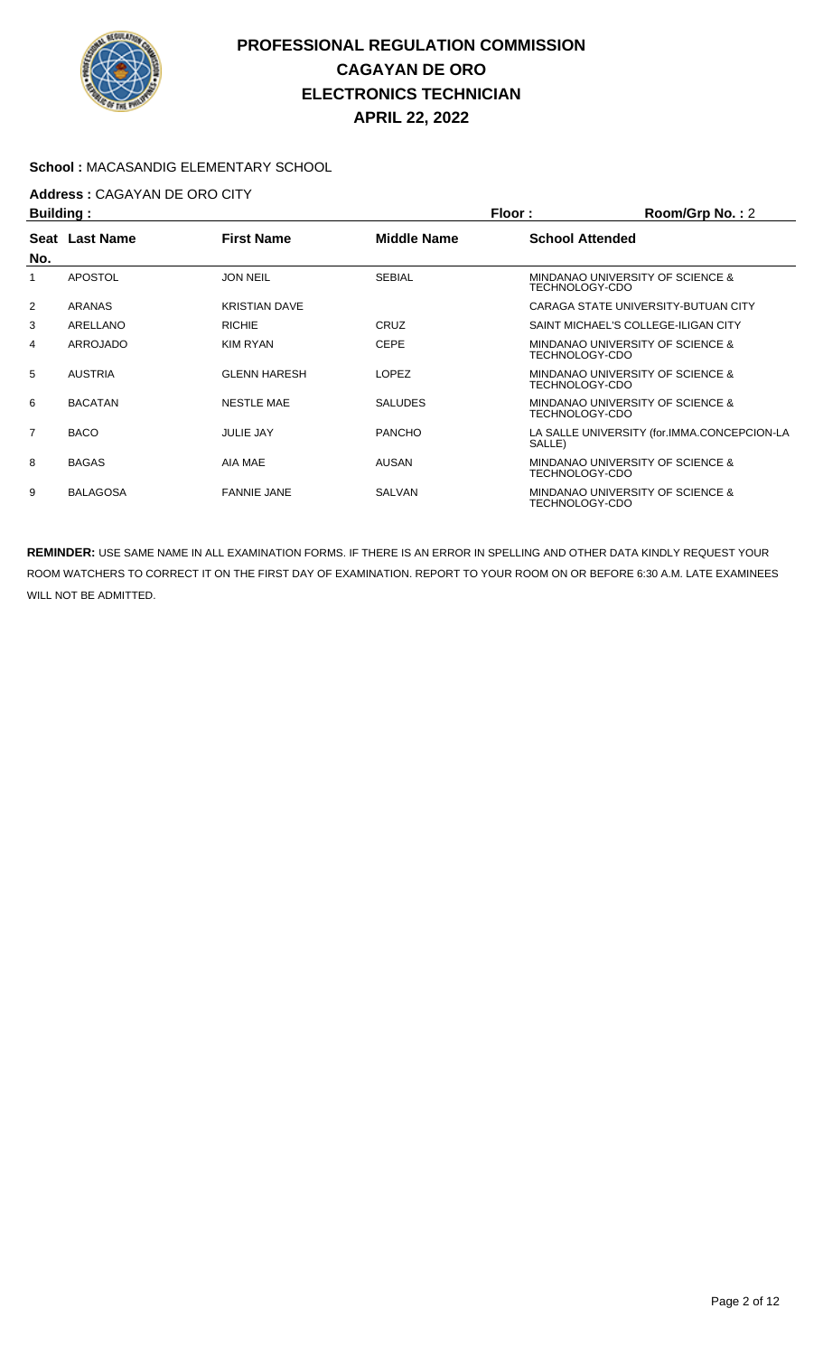

#### **School :** MACASANDIG ELEMENTARY SCHOOL

## **Address :** CAGAYAN DE ORO CITY

| <b>Building:</b> |                 |                      | <b>Floor:</b>  | Room/Grp No.: 2        |                                             |
|------------------|-----------------|----------------------|----------------|------------------------|---------------------------------------------|
|                  | Seat Last Name  | <b>First Name</b>    | Middle Name    | <b>School Attended</b> |                                             |
| No.              |                 |                      |                |                        |                                             |
| 1                | <b>APOSTOL</b>  | <b>JON NEIL</b>      | <b>SEBIAL</b>  | TECHNOLOGY-CDO         | MINDANAO UNIVERSITY OF SCIENCE &            |
| $\overline{2}$   | ARANAS          | <b>KRISTIAN DAVE</b> |                |                        | CARAGA STATE UNIVERSITY-BUTUAN CITY         |
| 3                | ARELLANO        | <b>RICHIE</b>        | CRUZ           |                        | SAINT MICHAEL'S COLLEGE-ILIGAN CITY         |
| 4                | ARROJADO        | KIM RYAN             | <b>CEPE</b>    | TECHNOLOGY-CDO         | MINDANAO UNIVERSITY OF SCIENCE &            |
| 5                | <b>AUSTRIA</b>  | <b>GLENN HARESH</b>  | <b>LOPEZ</b>   | TECHNOLOGY-CDO         | MINDANAO UNIVERSITY OF SCIENCE &            |
| 6                | <b>BACATAN</b>  | <b>NESTLE MAE</b>    | <b>SALUDES</b> | TECHNOLOGY-CDO         | MINDANAO UNIVERSITY OF SCIENCE &            |
| $\overline{7}$   | <b>BACO</b>     | <b>JULIE JAY</b>     | <b>PANCHO</b>  | SALLE)                 | LA SALLE UNIVERSITY (for.IMMA.CONCEPCION-LA |
| 8                | <b>BAGAS</b>    | AIA MAE              | <b>AUSAN</b>   | TECHNOLOGY-CDO         | MINDANAO UNIVERSITY OF SCIENCE &            |
| 9                | <b>BALAGOSA</b> | <b>FANNIE JANE</b>   | SALVAN         | TECHNOLOGY-CDO         | MINDANAO UNIVERSITY OF SCIENCE &            |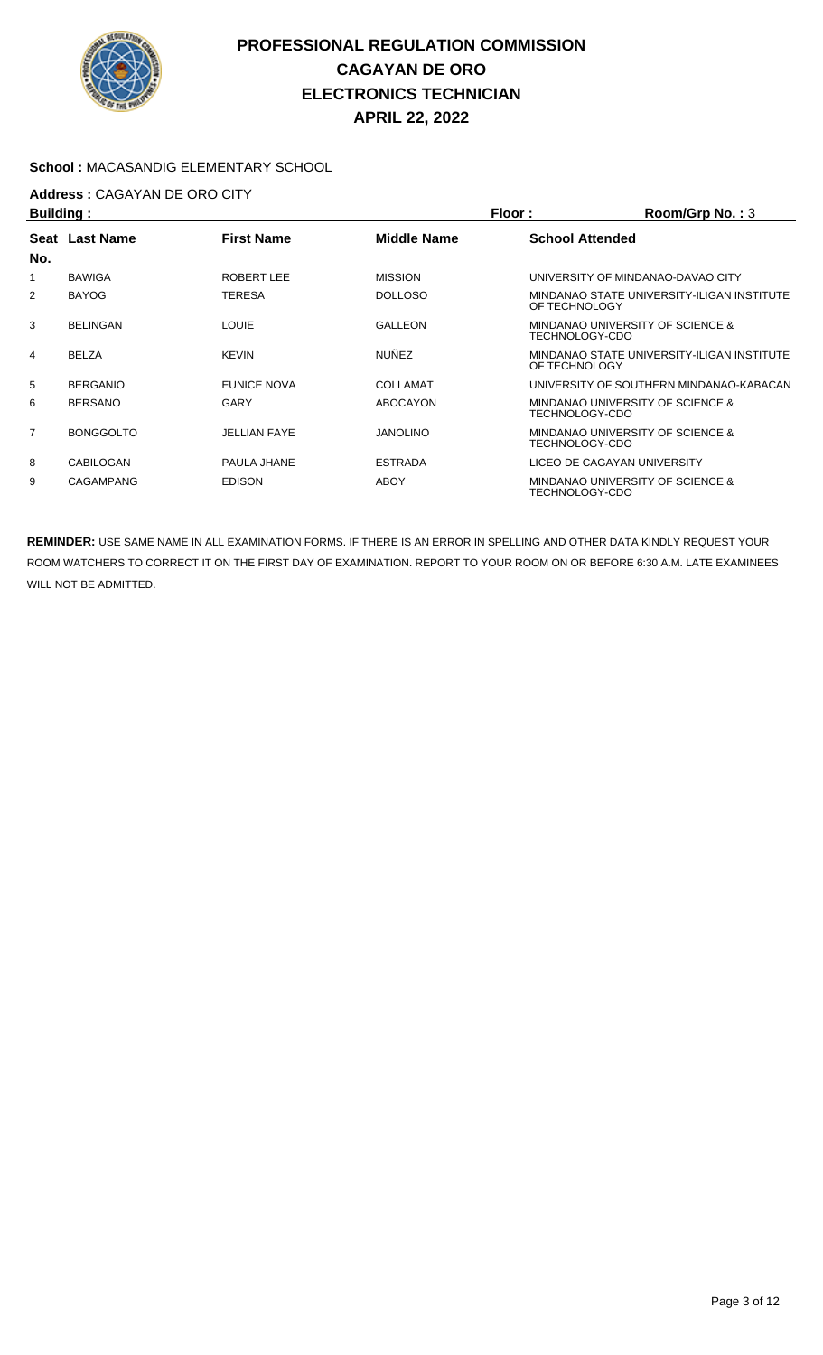

#### **School :** MACASANDIG ELEMENTARY SCHOOL

# **Address : CAGAYAN DE ORO CITY**<br>**Ruilding** :

| <b>Building:</b> |                  |                     |                    | Floor:                 | Room/Grp No.: 3                            |
|------------------|------------------|---------------------|--------------------|------------------------|--------------------------------------------|
| No.              | Seat Last Name   | <b>First Name</b>   | <b>Middle Name</b> | <b>School Attended</b> |                                            |
|                  | <b>BAWIGA</b>    | ROBERT LEE          | <b>MISSION</b>     |                        | UNIVERSITY OF MINDANAO-DAVAO CITY          |
| 2                | <b>BAYOG</b>     | <b>TERESA</b>       | <b>DOLLOSO</b>     | OF TECHNOLOGY          | MINDANAO STATE UNIVERSITY-ILIGAN INSTITUTE |
| 3                | <b>BELINGAN</b>  | <b>LOUIE</b>        | <b>GALLEON</b>     | TECHNOLOGY-CDO         | MINDANAO UNIVERSITY OF SCIENCE &           |
| 4                | <b>BELZA</b>     | <b>KEVIN</b>        | <b>NUÑEZ</b>       | OF TECHNOLOGY          | MINDANAO STATE UNIVERSITY-ILIGAN INSTITUTE |
| 5                | <b>BERGANIO</b>  | <b>EUNICE NOVA</b>  | COLLAMAT           |                        | UNIVERSITY OF SOUTHERN MINDANAO-KABACAN    |
| 6                | <b>BERSANO</b>   | GARY                | <b>ABOCAYON</b>    | TECHNOLOGY-CDO         | MINDANAO UNIVERSITY OF SCIENCE &           |
| $\overline{7}$   | <b>BONGGOLTO</b> | <b>JELLIAN FAYE</b> | <b>JANOLINO</b>    | TECHNOLOGY-CDO         | MINDANAO UNIVERSITY OF SCIENCE &           |
| 8                | CABILOGAN        | PAULA JHANE         | <b>ESTRADA</b>     |                        | LICEO DE CAGAYAN UNIVERSITY                |
| 9                | <b>CAGAMPANG</b> | <b>EDISON</b>       | ABOY               | TECHNOLOGY-CDO         | MINDANAO UNIVERSITY OF SCIENCE &           |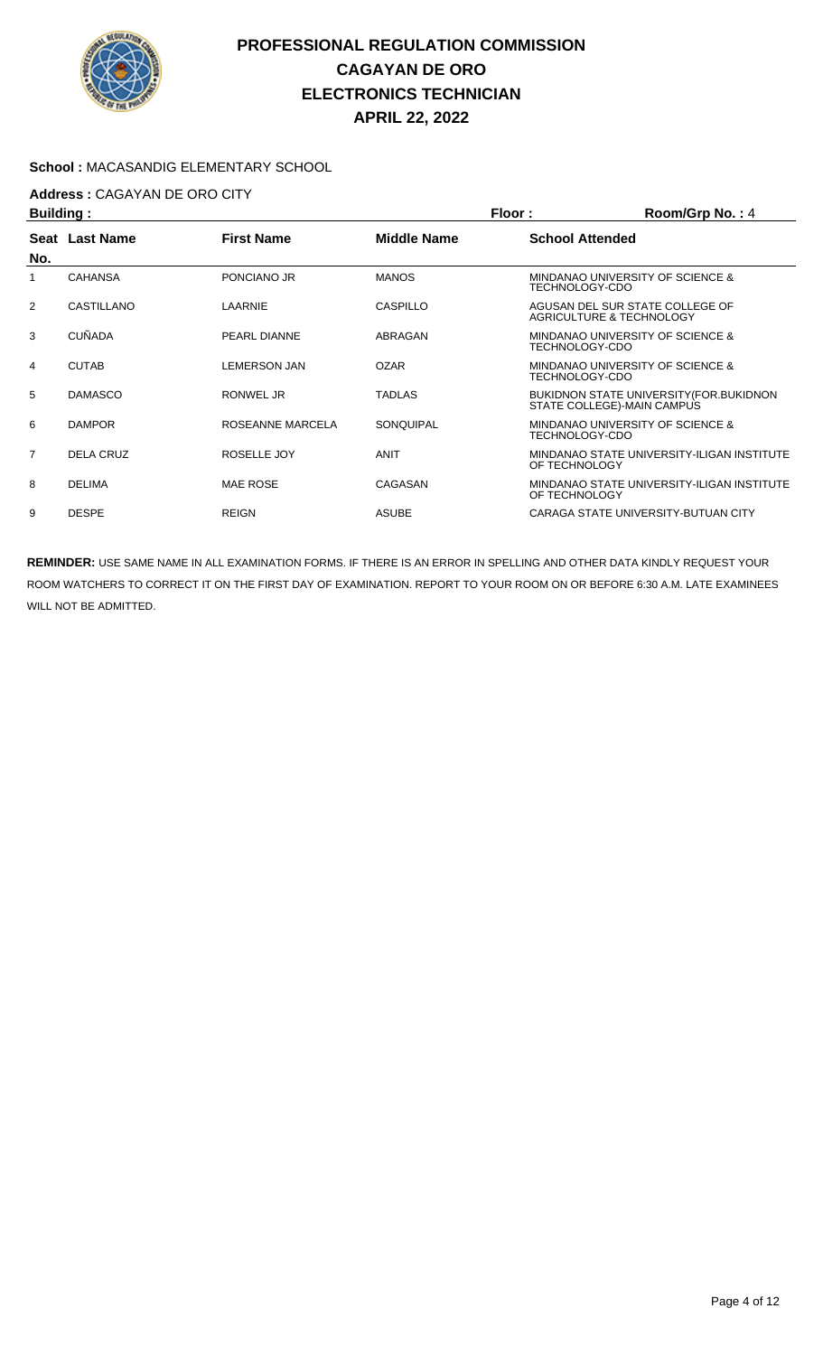

#### **School :** MACASANDIG ELEMENTARY SCHOOL

## **Address :** CAGAYAN DE ORO CITY

| <b>Building:</b> |                |                     |                    | Floor:<br>Room/Grp No.: 4                                                     |
|------------------|----------------|---------------------|--------------------|-------------------------------------------------------------------------------|
| No.              | Seat Last Name | <b>First Name</b>   | <b>Middle Name</b> | <b>School Attended</b>                                                        |
|                  | <b>CAHANSA</b> | PONCIANO JR         | <b>MANOS</b>       | MINDANAO UNIVERSITY OF SCIENCE &<br>TECHNOLOGY-CDO                            |
| 2                | CASTILLANO     | LAARNIE             | CASPILLO           | AGUSAN DEL SUR STATE COLLEGE OF<br>AGRICULTURE & TECHNOLOGY                   |
| 3                | <b>CUÑADA</b>  | PEARL DIANNE        | ABRAGAN            | MINDANAO UNIVERSITY OF SCIENCE &<br>TECHNOLOGY-CDO                            |
| 4                | <b>CUTAB</b>   | <b>LEMERSON JAN</b> | <b>OZAR</b>        | MINDANAO UNIVERSITY OF SCIENCE &<br>TECHNOLOGY-CDO                            |
| 5                | <b>DAMASCO</b> | RONWEL JR           | <b>TADLAS</b>      | <b>BUKIDNON STATE UNIVERSITY (FOR.BUKIDNON)</b><br>STATE COLLEGE)-MAIN CAMPUS |
| 6                | <b>DAMPOR</b>  | ROSEANNE MARCELA    | SONQUIPAL          | MINDANAO UNIVERSITY OF SCIENCE &<br>TECHNOLOGY-CDO                            |
| $\overline{7}$   | DELA CRUZ      | ROSELLE JOY         | <b>ANIT</b>        | MINDANAO STATE UNIVERSITY-ILIGAN INSTITUTE<br>OF TECHNOLOGY                   |
| 8                | <b>DELIMA</b>  | <b>MAE ROSE</b>     | CAGASAN            | MINDANAO STATE UNIVERSITY-ILIGAN INSTITUTE<br>OF TECHNOLOGY                   |
| 9                | <b>DESPE</b>   | <b>REIGN</b>        | <b>ASUBE</b>       | CARAGA STATE UNIVERSITY-BUTUAN CITY                                           |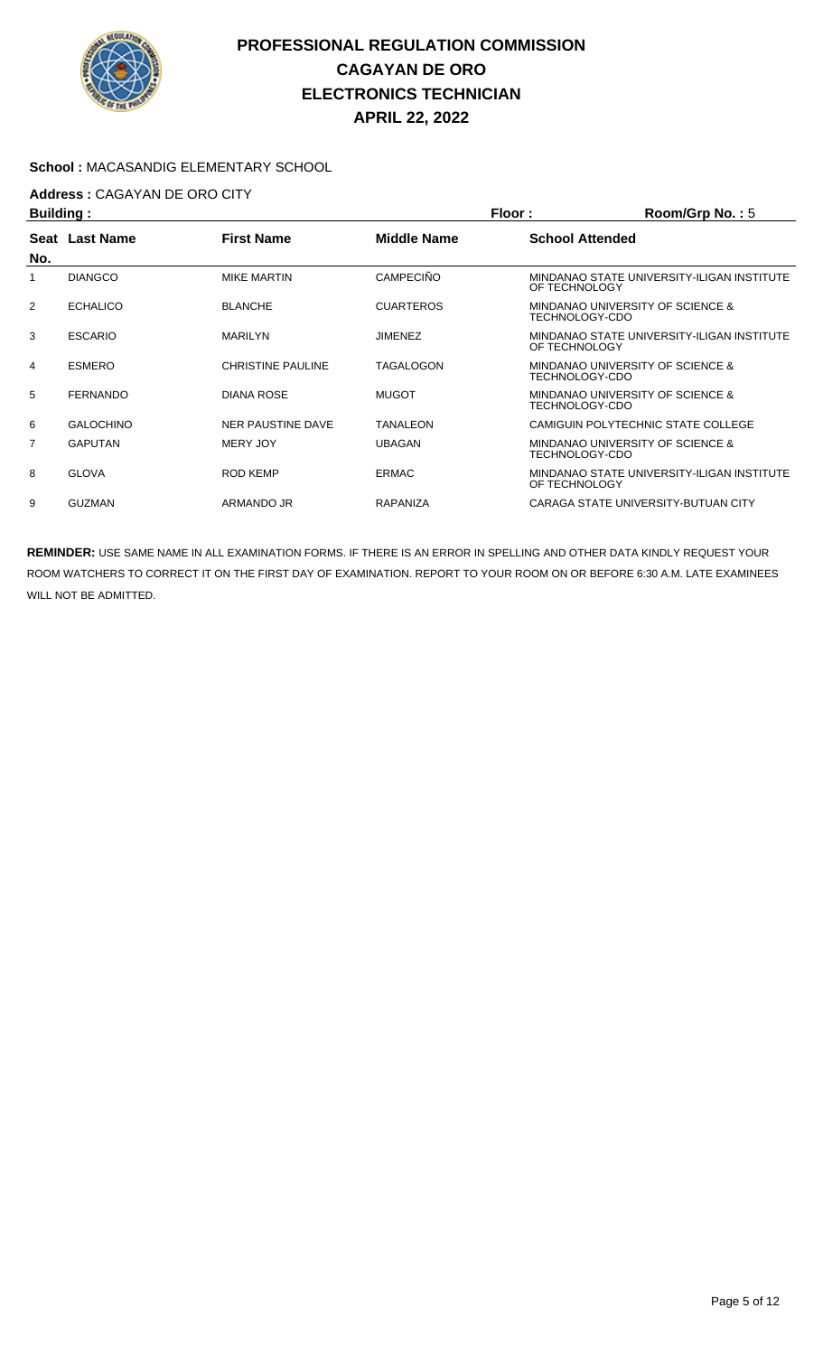

#### **School :** MACASANDIG ELEMENTARY SCHOOL

## **Address :** CAGAYAN DE ORO CITY

| <b>Building:</b> |                  |                          |                    | Floor:<br>Room/Grp No.: $5$                                 |
|------------------|------------------|--------------------------|--------------------|-------------------------------------------------------------|
| No.              | Seat Last Name   | <b>First Name</b>        | <b>Middle Name</b> | <b>School Attended</b>                                      |
|                  | <b>DIANGCO</b>   | <b>MIKE MARTIN</b>       | <b>CAMPECIÑO</b>   | MINDANAO STATE UNIVERSITY-ILIGAN INSTITUTE<br>OF TECHNOLOGY |
| $\overline{2}$   | <b>ECHALICO</b>  | <b>BLANCHE</b>           | <b>CUARTEROS</b>   | MINDANAO UNIVERSITY OF SCIENCE &<br>TECHNOLOGY-CDO          |
| 3                | <b>ESCARIO</b>   | <b>MARILYN</b>           | <b>JIMENEZ</b>     | MINDANAO STATE UNIVERSITY-ILIGAN INSTITUTE<br>OF TECHNOLOGY |
| 4                | <b>ESMERO</b>    | <b>CHRISTINE PAULINE</b> | TAGALOGON          | MINDANAO UNIVERSITY OF SCIENCE &<br>TECHNOLOGY-CDO          |
| 5                | <b>FERNANDO</b>  | <b>DIANA ROSE</b>        | <b>MUGOT</b>       | MINDANAO UNIVERSITY OF SCIENCE &<br>TECHNOLOGY-CDO          |
| 6                | <b>GALOCHINO</b> | NER PAUSTINE DAVE        | TANALEON           | CAMIGUIN POLYTECHNIC STATE COLLEGE                          |
| $\overline{7}$   | <b>GAPUTAN</b>   | <b>MERY JOY</b>          | <b>UBAGAN</b>      | MINDANAO UNIVERSITY OF SCIENCE &<br>TECHNOLOGY-CDO          |
| 8                | <b>GLOVA</b>     | <b>ROD KEMP</b>          | <b>ERMAC</b>       | MINDANAO STATE UNIVERSITY-ILIGAN INSTITUTE<br>OF TECHNOLOGY |
| 9                | <b>GUZMAN</b>    | ARMANDO JR               | <b>RAPANIZA</b>    | CARAGA STATE UNIVERSITY-BUTUAN CITY                         |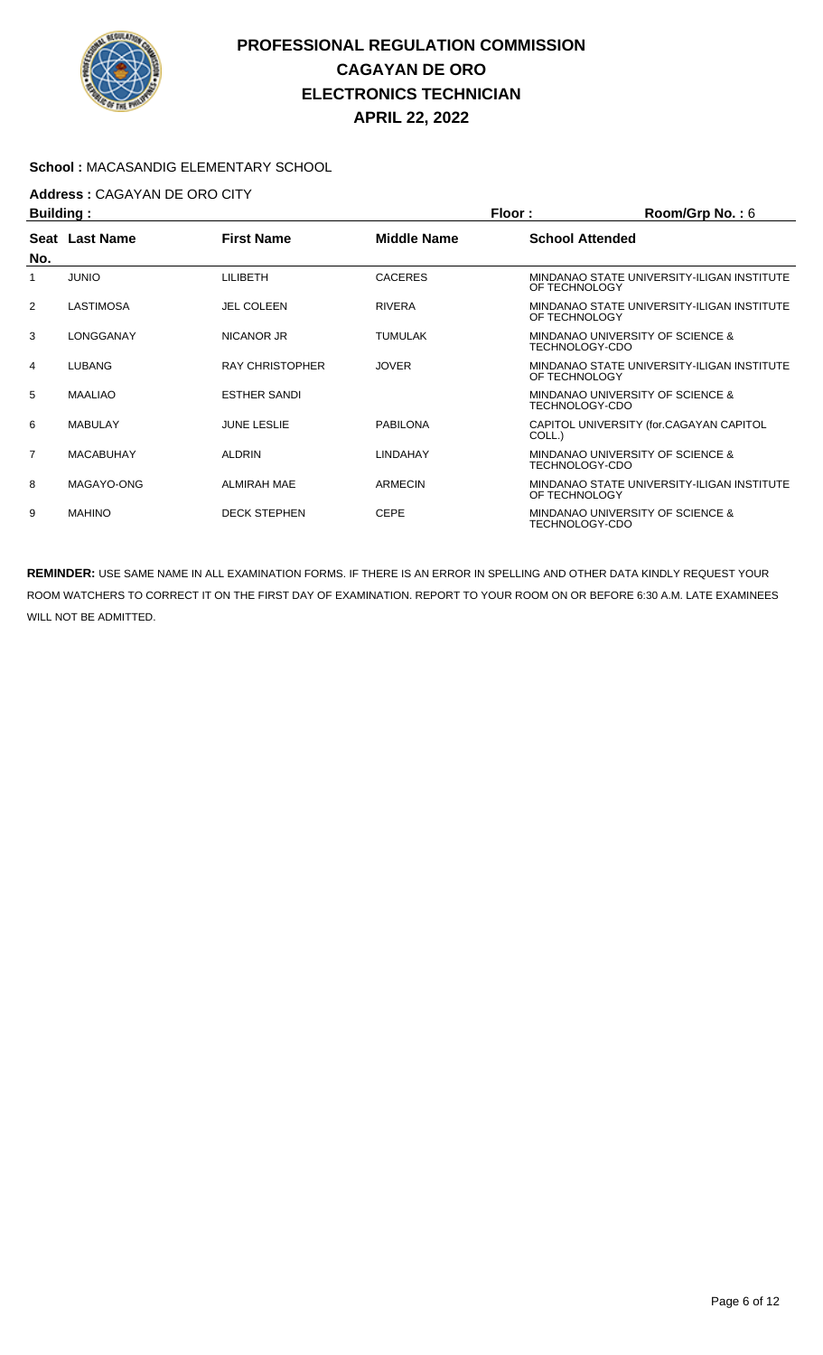

#### **School :** MACASANDIG ELEMENTARY SCHOOL

## **Address :** CAGAYAN DE ORO CITY

| <b>Building:</b> |                  |                        |                    | Floor:<br>Room/Grp No.: $6$                                 |
|------------------|------------------|------------------------|--------------------|-------------------------------------------------------------|
| No.              | Seat Last Name   | <b>First Name</b>      | <b>Middle Name</b> | <b>School Attended</b>                                      |
|                  | <b>JUNIO</b>     | LILIBETH               | <b>CACERES</b>     | MINDANAO STATE UNIVERSITY-ILIGAN INSTITUTE<br>OF TECHNOLOGY |
| $\overline{2}$   | <b>LASTIMOSA</b> | <b>JEL COLEEN</b>      | <b>RIVERA</b>      | MINDANAO STATE UNIVERSITY-ILIGAN INSTITUTE<br>OF TECHNOLOGY |
| 3                | LONGGANAY        | NICANOR JR             | <b>TUMULAK</b>     | MINDANAO UNIVERSITY OF SCIENCE &<br>TECHNOLOGY-CDO          |
| 4                | LUBANG           | <b>RAY CHRISTOPHER</b> | <b>JOVER</b>       | MINDANAO STATE UNIVERSITY-ILIGAN INSTITUTE<br>OF TECHNOLOGY |
| 5                | <b>MAALIAO</b>   | <b>ESTHER SANDI</b>    |                    | MINDANAO UNIVERSITY OF SCIENCE &<br>TECHNOLOGY-CDO          |
| 6                | MABULAY          | <b>JUNE LESLIE</b>     | <b>PABILONA</b>    | CAPITOL UNIVERSITY (for.CAGAYAN CAPITOL<br>COLL.)           |
| $\overline{7}$   | <b>MACABUHAY</b> | <b>ALDRIN</b>          | <b>LINDAHAY</b>    | MINDANAO UNIVERSITY OF SCIENCE &<br>TECHNOLOGY-CDO          |
| 8                | MAGAYO-ONG       | <b>ALMIRAH MAE</b>     | <b>ARMECIN</b>     | MINDANAO STATE UNIVERSITY-ILIGAN INSTITUTE<br>OF TECHNOLOGY |
| 9                | <b>MAHINO</b>    | <b>DECK STEPHEN</b>    | <b>CEPE</b>        | MINDANAO UNIVERSITY OF SCIENCE &<br>TECHNOLOGY-CDO          |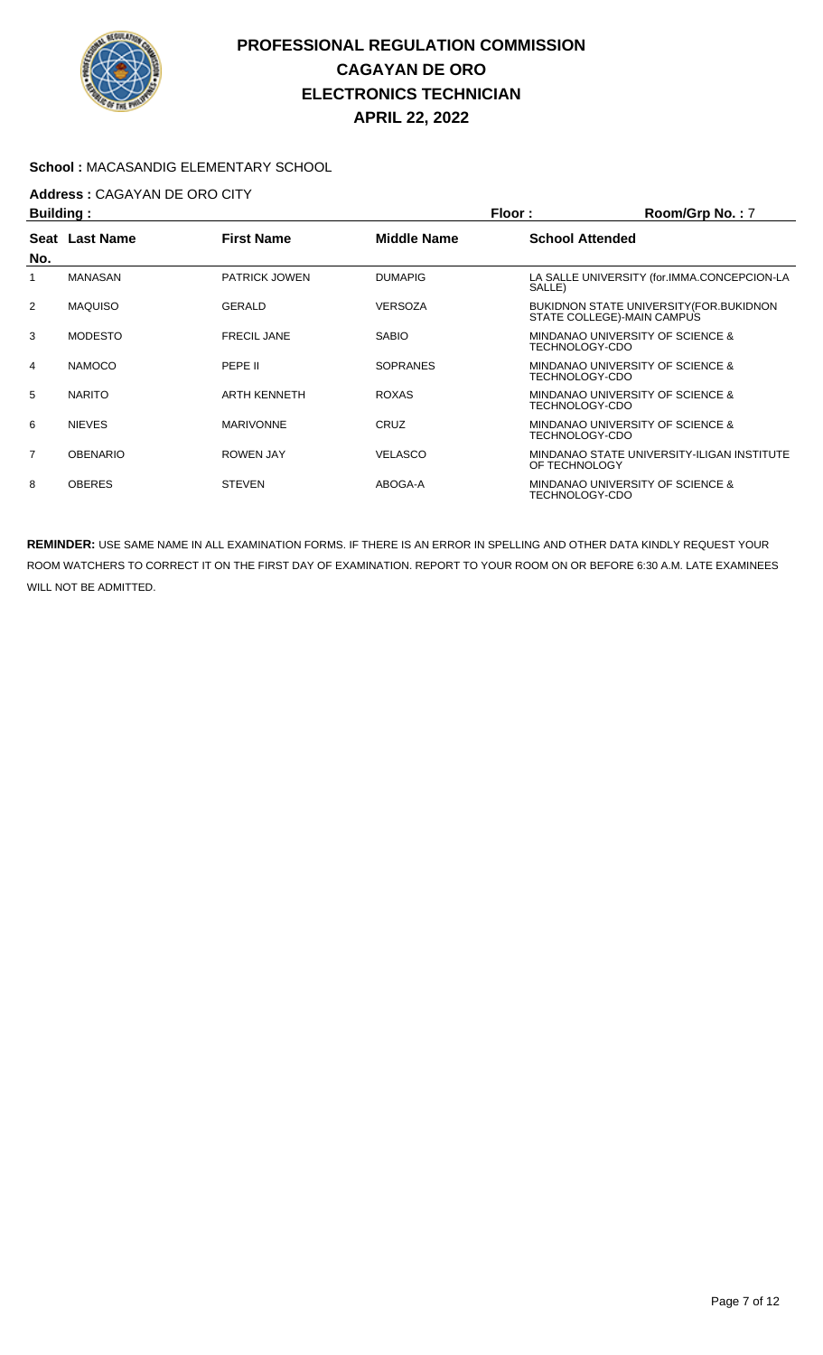

#### **School :** MACASANDIG ELEMENTARY SCHOOL

## **Address :** CAGAYAN DE ORO CITY

| <b>Building:</b> |                 |                      |                    | Floor:                 | Room/Grp No.: 7                                                        |
|------------------|-----------------|----------------------|--------------------|------------------------|------------------------------------------------------------------------|
| No.              | Seat Last Name  | <b>First Name</b>    | <b>Middle Name</b> | <b>School Attended</b> |                                                                        |
|                  | <b>MANASAN</b>  | <b>PATRICK JOWEN</b> | <b>DUMAPIG</b>     | SALLE)                 | LA SALLE UNIVERSITY (for.IMMA.CONCEPCION-LA                            |
| 2                | <b>MAQUISO</b>  | GERALD               | <b>VERSOZA</b>     |                        | BUKIDNON STATE UNIVERSITY (FOR. BUKIDNON<br>STATE COLLEGE)-MAIN CAMPUS |
| 3                | <b>MODESTO</b>  | <b>FRECIL JANE</b>   | <b>SABIO</b>       | TECHNOLOGY-CDO         | <b>MINDANAO UNIVERSITY OF SCIENCE &amp;</b>                            |
| 4                | <b>NAMOCO</b>   | PEPE II              | <b>SOPRANES</b>    | TECHNOLOGY-CDO         | MINDANAO UNIVERSITY OF SCIENCE &                                       |
| 5                | <b>NARITO</b>   | <b>ARTH KENNETH</b>  | <b>ROXAS</b>       | TECHNOLOGY-CDO         | MINDANAO UNIVERSITY OF SCIENCE &                                       |
| 6                | <b>NIEVES</b>   | <b>MARIVONNE</b>     | <b>CRUZ</b>        | TECHNOLOGY-CDO         | MINDANAO UNIVERSITY OF SCIENCE &                                       |
| $\overline{7}$   | <b>OBENARIO</b> | <b>ROWEN JAY</b>     | <b>VELASCO</b>     | OF TECHNOLOGY          | MINDANAO STATE UNIVERSITY-ILIGAN INSTITUTE                             |
| 8                | <b>OBERES</b>   | <b>STEVEN</b>        | ABOGA-A            | TECHNOLOGY-CDO         | MINDANAO UNIVERSITY OF SCIENCE &                                       |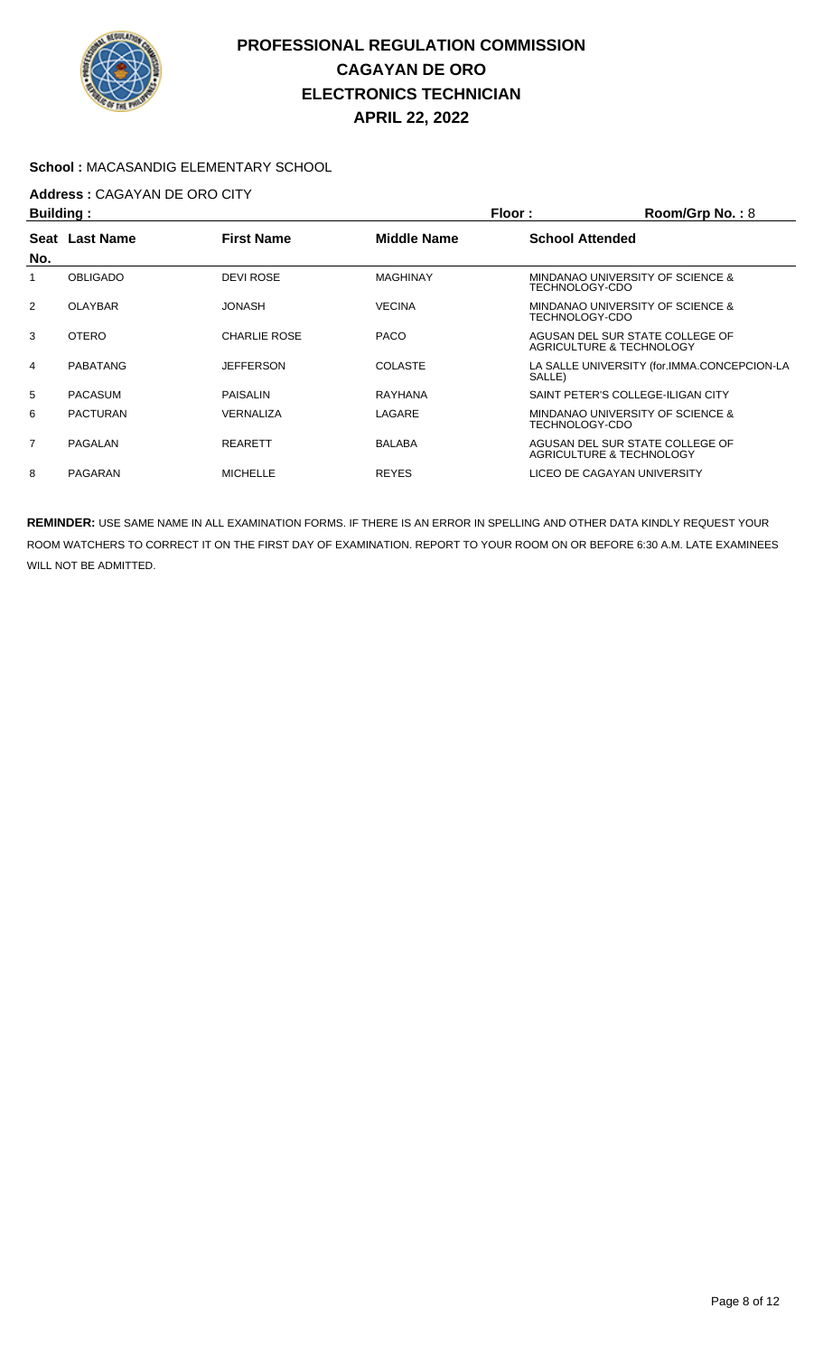

#### **School :** MACASANDIG ELEMENTARY SCHOOL

## **Address :** CAGAYAN DE ORO CITY

| <b>Building:</b> |                 |                     |                    | Floor:<br>Room/Grp No.: 8 |                                                             |  |
|------------------|-----------------|---------------------|--------------------|---------------------------|-------------------------------------------------------------|--|
|                  | Seat Last Name  | <b>First Name</b>   | <b>Middle Name</b> | <b>School Attended</b>    |                                                             |  |
| No.              |                 |                     |                    |                           |                                                             |  |
|                  | <b>OBLIGADO</b> | <b>DEVI ROSE</b>    | <b>MAGHINAY</b>    | TECHNOLOGY-CDO            | MINDANAO UNIVERSITY OF SCIENCE &                            |  |
| 2                | OLAYBAR         | <b>JONASH</b>       | <b>VECINA</b>      | TECHNOLOGY-CDO            | MINDANAO UNIVERSITY OF SCIENCE &                            |  |
| 3                | <b>OTERO</b>    | <b>CHARLIE ROSE</b> | <b>PACO</b>        |                           | AGUSAN DEL SUR STATE COLLEGE OF<br>AGRICULTURE & TECHNOLOGY |  |
| 4                | PABATANG        | <b>JEFFERSON</b>    | <b>COLASTE</b>     | SALLE)                    | LA SALLE UNIVERSITY (for.IMMA.CONCEPCION-LA                 |  |
| 5                | <b>PACASUM</b>  | PAISALIN            | RAYHANA            |                           | SAINT PETER'S COLLEGE-ILIGAN CITY                           |  |
| 6                | <b>PACTURAN</b> | VERNALIZA           | LAGARE             | TECHNOLOGY-CDO            | MINDANAO UNIVERSITY OF SCIENCE &                            |  |
| $\overline{7}$   | PAGALAN         | <b>REARETT</b>      | <b>BALABA</b>      |                           | AGUSAN DEL SUR STATE COLLEGE OF<br>AGRICULTURE & TECHNOLOGY |  |
| 8                | PAGARAN         | <b>MICHELLE</b>     | <b>REYES</b>       |                           | LICEO DE CAGAYAN UNIVERSITY                                 |  |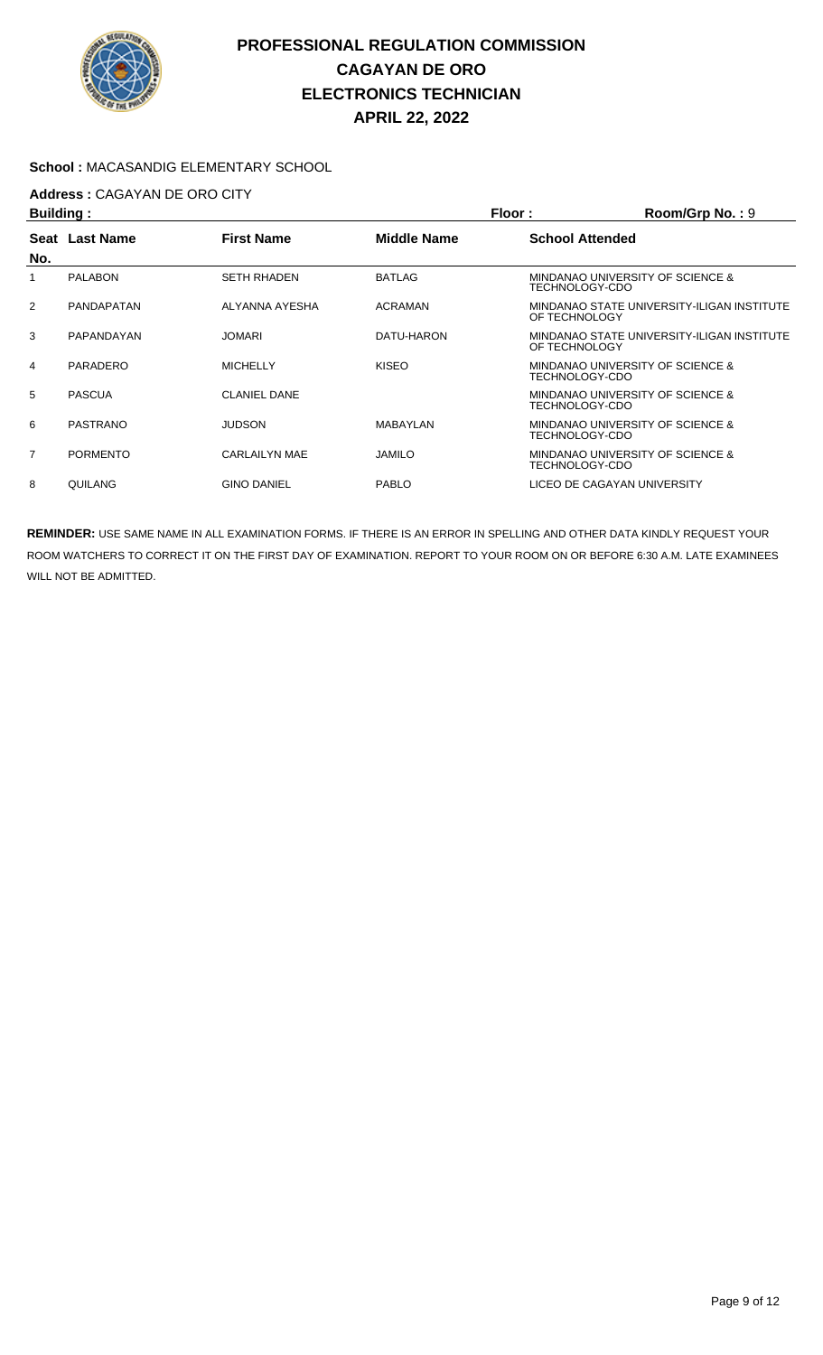

#### **School :** MACASANDIG ELEMENTARY SCHOOL

## **Address :** CAGAYAN DE ORO CITY

| Building:      |                   |                     |                    | Floor:<br>Room/Grp No.: 9                                   |
|----------------|-------------------|---------------------|--------------------|-------------------------------------------------------------|
| No.            | Seat Last Name    | <b>First Name</b>   | <b>Middle Name</b> | <b>School Attended</b>                                      |
| 1              | <b>PALABON</b>    | <b>SETH RHADEN</b>  | <b>BATLAG</b>      | MINDANAO UNIVERSITY OF SCIENCE &<br>TECHNOLOGY-CDO          |
| $\overline{2}$ | <b>PANDAPATAN</b> | ALYANNA AYESHA      | ACRAMAN            | MINDANAO STATE UNIVERSITY-ILIGAN INSTITUTE<br>OF TECHNOLOGY |
| 3              | PAPANDAYAN        | <b>JOMARI</b>       | DATU-HARON         | MINDANAO STATE UNIVERSITY-ILIGAN INSTITUTE<br>OF TECHNOLOGY |
| 4              | PARADERO          | <b>MICHELLY</b>     | <b>KISEO</b>       | MINDANAO UNIVERSITY OF SCIENCE &<br>TECHNOLOGY-CDO          |
| 5              | <b>PASCUA</b>     | <b>CLANIEL DANE</b> |                    | MINDANAO UNIVERSITY OF SCIENCE &<br>TECHNOLOGY-CDO          |
| 6              | PASTRANO          | <b>JUDSON</b>       | MABAYLAN           | MINDANAO UNIVERSITY OF SCIENCE &<br>TECHNOLOGY-CDO          |
| $\overline{7}$ | <b>PORMENTO</b>   | CARLAILYN MAE       | <b>JAMILO</b>      | MINDANAO UNIVERSITY OF SCIENCE &<br>TECHNOLOGY-CDO          |
| 8              | QUILANG           | <b>GINO DANIEL</b>  | <b>PABLO</b>       | LICEO DE CAGAYAN UNIVERSITY                                 |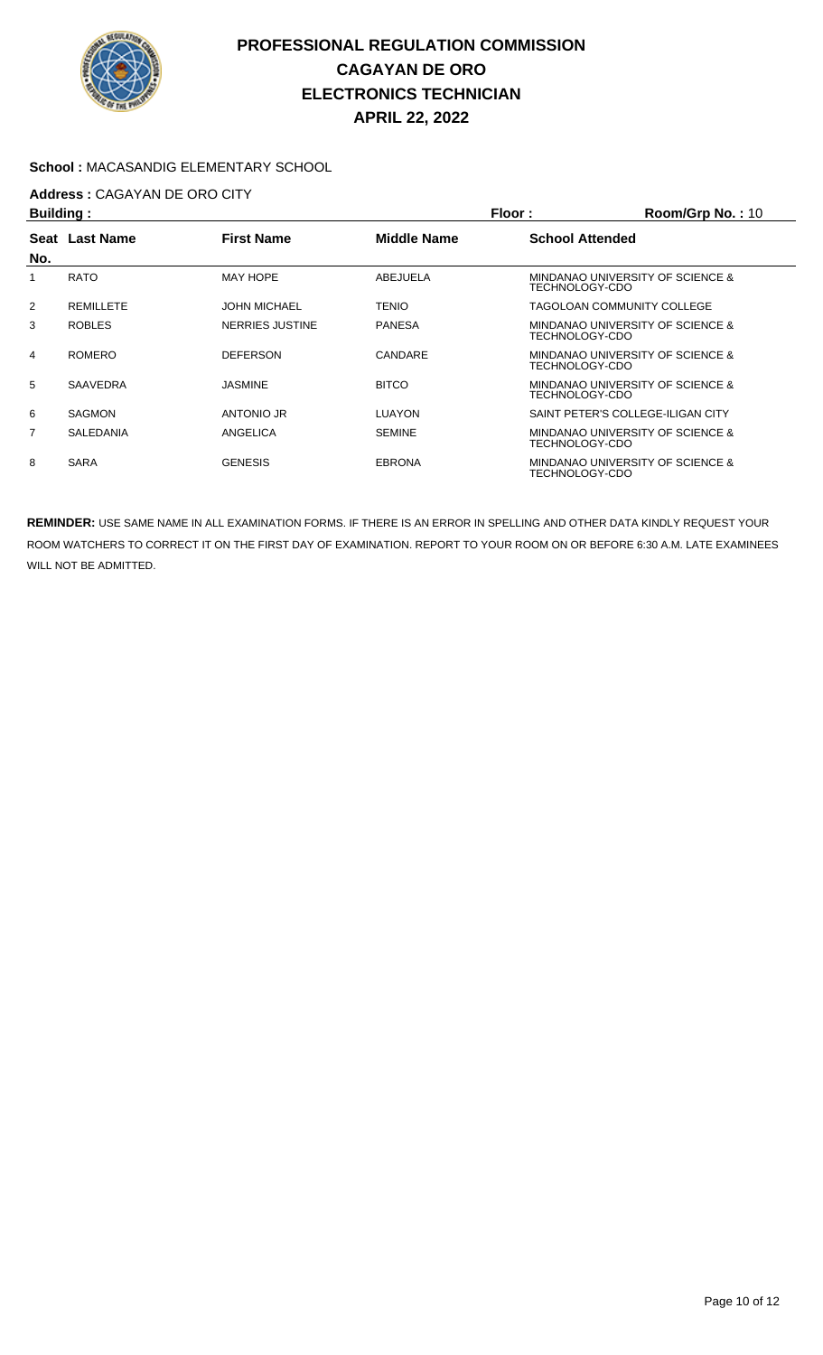

#### **School :** MACASANDIG ELEMENTARY SCHOOL

## **Address :** CAGAYAN DE ORO CITY

| <b>Building:</b> |                  |                     | Floor:             | Room/Grp No.: 10       |                                   |
|------------------|------------------|---------------------|--------------------|------------------------|-----------------------------------|
|                  | Seat Last Name   | <b>First Name</b>   | <b>Middle Name</b> | <b>School Attended</b> |                                   |
| No.              |                  |                     |                    |                        |                                   |
|                  | <b>RATO</b>      | <b>MAY HOPE</b>     | ABEJUELA           | TECHNOLOGY-CDO         | MINDANAO UNIVERSITY OF SCIENCE &  |
| 2                | REMILLETE        | <b>JOHN MICHAEL</b> | <b>TENIO</b>       |                        | TAGOLOAN COMMUNITY COLLEGE        |
| 3                | <b>ROBLES</b>    | NERRIES JUSTINE     | <b>PANESA</b>      | TECHNOLOGY-CDO         | MINDANAO UNIVERSITY OF SCIENCE &  |
| 4                | <b>ROMERO</b>    | <b>DEFERSON</b>     | CANDARE            | TECHNOLOGY-CDO         | MINDANAO UNIVERSITY OF SCIENCE &  |
| 5                | <b>SAAVEDRA</b>  | <b>JASMINE</b>      | <b>BITCO</b>       | TECHNOLOGY-CDO         | MINDANAO UNIVERSITY OF SCIENCE &  |
| 6                | <b>SAGMON</b>    | ANTONIO JR          | LUAYON             |                        | SAINT PETER'S COLLEGE-ILIGAN CITY |
| 7                | <b>SALEDANIA</b> | ANGELICA            | <b>SEMINE</b>      | TECHNOLOGY-CDO         | MINDANAO UNIVERSITY OF SCIENCE &  |
| 8                | <b>SARA</b>      | <b>GENESIS</b>      | <b>EBRONA</b>      | TECHNOLOGY-CDO         | MINDANAO UNIVERSITY OF SCIENCE &  |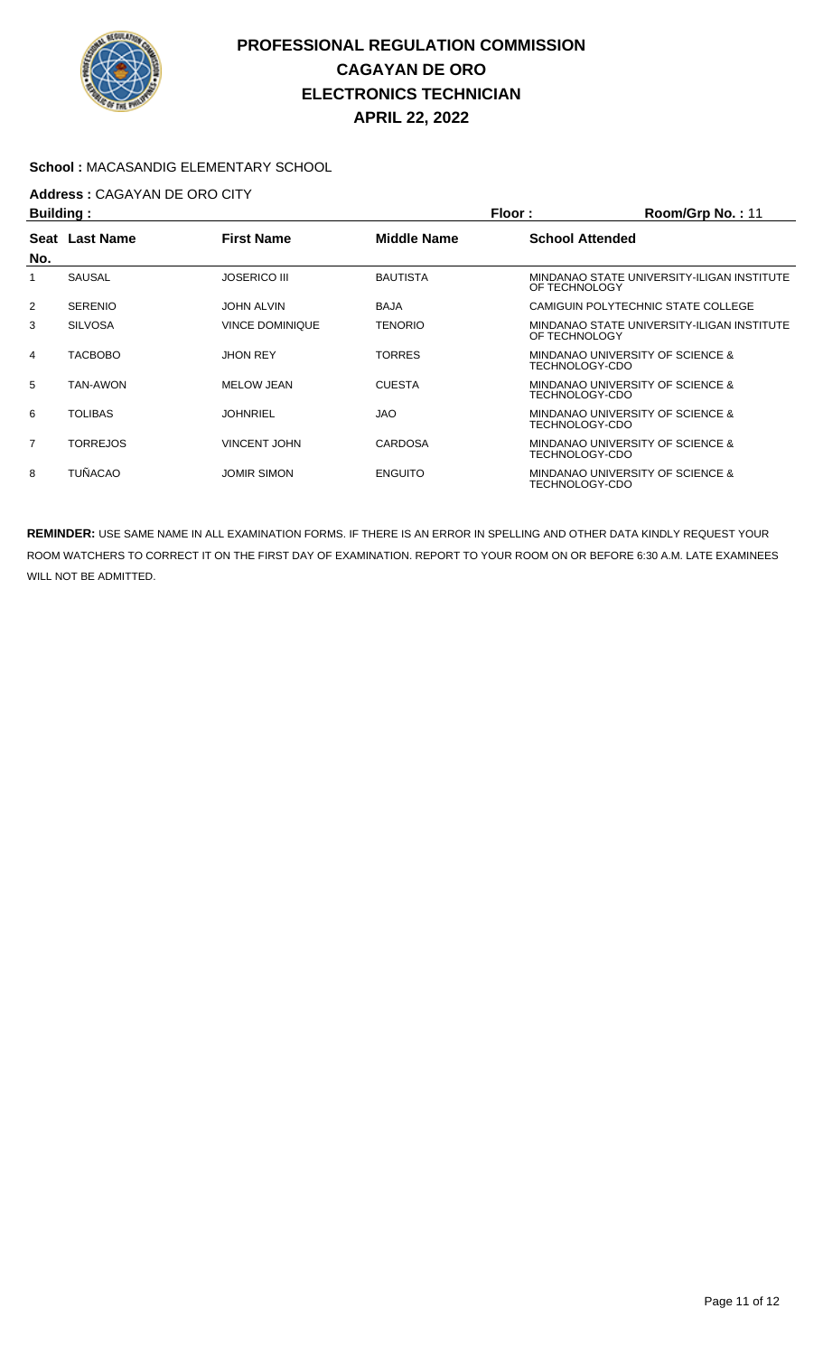

#### **School :** MACASANDIG ELEMENTARY SCHOOL

## **Address :** CAGAYAN DE ORO CITY

| Building:      |                  |                        |                 | Floor:<br>Room/Grp No.: 11 |                                            |  |
|----------------|------------------|------------------------|-----------------|----------------------------|--------------------------------------------|--|
| Seat           | <b>Last Name</b> | <b>First Name</b>      | Middle Name     | <b>School Attended</b>     |                                            |  |
| No.            |                  |                        |                 |                            |                                            |  |
|                | <b>SAUSAL</b>    | <b>JOSERICO III</b>    | <b>BAUTISTA</b> | OF TECHNOLOGY              | MINDANAO STATE UNIVERSITY-ILIGAN INSTITUTE |  |
| $\overline{2}$ | <b>SERENIO</b>   | <b>JOHN ALVIN</b>      | <b>BAJA</b>     |                            | CAMIGUIN POLYTECHNIC STATE COLLEGE         |  |
| 3              | <b>SILVOSA</b>   | <b>VINCE DOMINIQUE</b> | TENORIO         | OF TECHNOLOGY              | MINDANAO STATE UNIVERSITY-ILIGAN INSTITUTE |  |
| 4              | <b>TACBOBO</b>   | <b>JHON REY</b>        | TORRES          | TECHNOLOGY-CDO             | MINDANAO UNIVERSITY OF SCIENCE &           |  |
| 5              | TAN-AWON         | <b>MELOW JEAN</b>      | <b>CUESTA</b>   | TECHNOLOGY-CDO             | MINDANAO UNIVERSITY OF SCIENCE &           |  |
| 6              | <b>TOLIBAS</b>   | JOHNRIEL               | <b>JAO</b>      | TECHNOLOGY-CDO             | MINDANAO UNIVERSITY OF SCIENCE &           |  |
| $\overline{7}$ | <b>TORREJOS</b>  | <b>VINCENT JOHN</b>    | CARDOSA         | TECHNOLOGY-CDO             | MINDANAO UNIVERSITY OF SCIENCE &           |  |
| 8              | <b>TUÑACAO</b>   | <b>JOMIR SIMON</b>     | <b>ENGUITO</b>  | TECHNOLOGY-CDO             | MINDANAO UNIVERSITY OF SCIENCE &           |  |